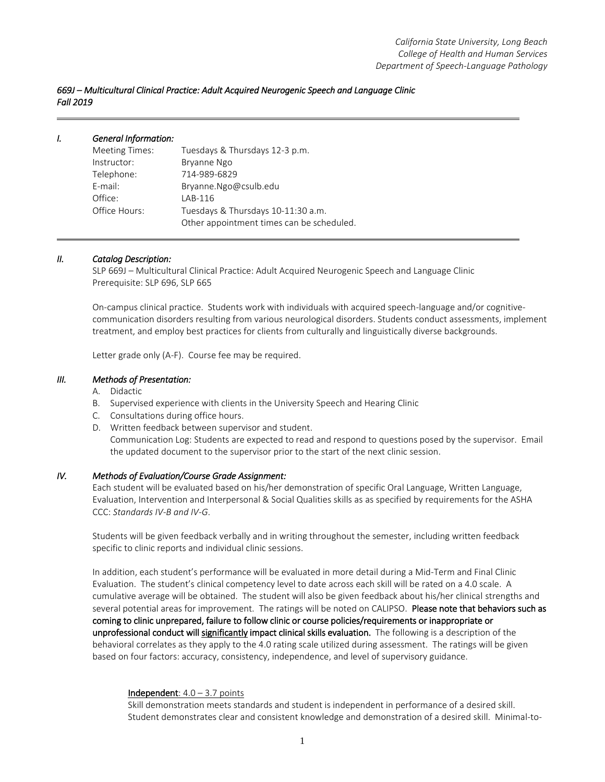*669J – Multicultural Clinical Practice: Adult Acquired Neurogenic Speech and Language Clinic Fall 2019* 

#### *I. General Information:*

| <b>Meeting Times:</b> | Tuesdays & Thursdays 12-3 p.m.            |
|-----------------------|-------------------------------------------|
| Instructor:           | Bryanne Ngo                               |
| Telephone:            | 714-989-6829                              |
| E-mail:               | Bryanne.Ngo@csulb.edu                     |
| Office:               | LAB-116                                   |
| Office Hours:         | Tuesdays & Thursdays 10-11:30 a.m.        |
|                       | Other appointment times can be scheduled. |

#### *II. Catalog Description:*

SLP 669J – Multicultural Clinical Practice: Adult Acquired Neurogenic Speech and Language Clinic Prerequisite: SLP 696, SLP 665

On-campus clinical practice. Students work with individuals with acquired speech-language and/or cognitivecommunication disorders resulting from various neurological disorders. Students conduct assessments, implement treatment, and employ best practices for clients from culturally and linguistically diverse backgrounds.

Letter grade only (A-F). Course fee may be required.

#### *III. Methods of Presentation:*

- A. Didactic
- B. Supervised experience with clients in the University Speech and Hearing Clinic
- C. Consultations during office hours.
- D. Written feedback between supervisor and student.

Communication Log: Students are expected to read and respond to questions posed by the supervisor. Email the updated document to the supervisor prior to the start of the next clinic session.

#### *IV. Methods of Evaluation/Course Grade Assignment:*

Each student will be evaluated based on his/her demonstration of specific Oral Language, Written Language, Evaluation, Intervention and Interpersonal & Social Qualities skills as as specified by requirements for the ASHA CCC: *Standards IV-B and IV-G*.

Students will be given feedback verbally and in writing throughout the semester, including written feedback specific to clinic reports and individual clinic sessions.

In addition, each student's performance will be evaluated in more detail during a Mid-Term and Final Clinic Evaluation. The student's clinical competency level to date across each skill will be rated on a 4.0 scale. A cumulative average will be obtained. The student will also be given feedback about his/her clinical strengths and several potential areas for improvement. The ratings will be noted on CALIPSO. Please note that behaviors such as coming to clinic unprepared, failure to follow clinic or course policies/requirements or inappropriate or unprofessional conduct will significantly impact clinical skills evaluation. The following is a description of the behavioral correlates as they apply to the 4.0 rating scale utilized during assessment. The ratings will be given based on four factors: accuracy, consistency, independence, and level of supervisory guidance.

#### Independent:  $4.0 - 3.7$  points

Skill demonstration meets standards and student is independent in performance of a desired skill. Student demonstrates clear and consistent knowledge and demonstration of a desired skill. Minimal-to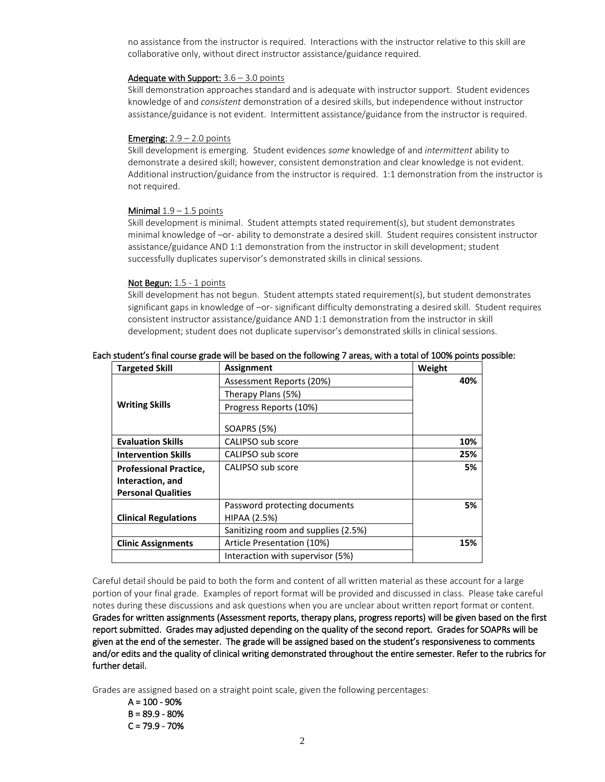no assistance from the instructor is required. Interactions with the instructor relative to this skill are collaborative only, without direct instructor assistance/guidance required.

#### Adequate with Support:  $3.6 - 3.0$  points

Skill demonstration approaches standard and is adequate with instructor support. Student evidences knowledge of and *consistent* demonstration of a desired skills, but independence without instructor assistance/guidance is not evident. Intermittent assistance/guidance from the instructor is required.

#### **Emerging:**  $2.9 - 2.0$  points

Skill development is emerging. Student evidences *some* knowledge of and *intermittent* ability to demonstrate a desired skill; however, consistent demonstration and clear knowledge is not evident. Additional instruction/guidance from the instructor is required. 1:1 demonstration from the instructor is not required.

#### **Minimal**  $1.9 - 1.5$  points

Skill development is minimal. Student attempts stated requirement(s), but student demonstrates minimal knowledge of –or- ability to demonstrate a desired skill. Student requires consistent instructor assistance/guidance AND 1:1 demonstration from the instructor in skill development; student successfully duplicates supervisor's demonstrated skills in clinical sessions.

#### Not Begun: 1.5 - 1 points

Skill development has not begun. Student attempts stated requirement(s), but student demonstrates significant gaps in knowledge of –or- significant difficulty demonstrating a desired skill. Student requires consistent instructor assistance/guidance AND 1:1 demonstration from the instructor in skill development; student does not duplicate supervisor's demonstrated skills in clinical sessions.

| <b>Targeted Skill</b>         | <b>Assignment</b>                   | Weight |
|-------------------------------|-------------------------------------|--------|
|                               | Assessment Reports (20%)            | 40%    |
|                               | Therapy Plans (5%)                  |        |
| <b>Writing Skills</b>         | Progress Reports (10%)              |        |
|                               | SOAPRS (5%)                         |        |
| <b>Evaluation Skills</b>      | CALIPSO sub score                   | 10%    |
| <b>Intervention Skills</b>    | CALIPSO sub score                   | 25%    |
| <b>Professional Practice,</b> | CALIPSO sub score                   | 5%     |
| Interaction, and              |                                     |        |
| <b>Personal Qualities</b>     |                                     |        |
|                               | Password protecting documents       | 5%     |
| <b>Clinical Regulations</b>   | <b>HIPAA (2.5%)</b>                 |        |
|                               | Sanitizing room and supplies (2.5%) |        |
| <b>Clinic Assignments</b>     | Article Presentation (10%)          | 15%    |
|                               | Interaction with supervisor (5%)    |        |

#### Each student's final course grade will be based on the following 7 areas, with a total of 100% points possible:

Careful detail should be paid to both the form and content of all written material as these account for a large portion of your final grade. Examples of report format will be provided and discussed in class. Please take careful notes during these discussions and ask questions when you are unclear about written report format or content. Grades for written assignments (Assessment reports, therapy plans, progress reports) will be given based on the first report submitted. Grades may adjusted depending on the quality of the second report. Grades for SOAPRs will be given at the end of the semester. The grade will be assigned based on the student's responsiveness to comments and/or edits and the quality of clinical writing demonstrated throughout the entire semester. Refer to the rubrics for further detail.

Grades are assigned based on a straight point scale, given the following percentages:

 $A = 100 - 90%$  $B = 89.9 - 80%$  $C = 79.9 - 70%$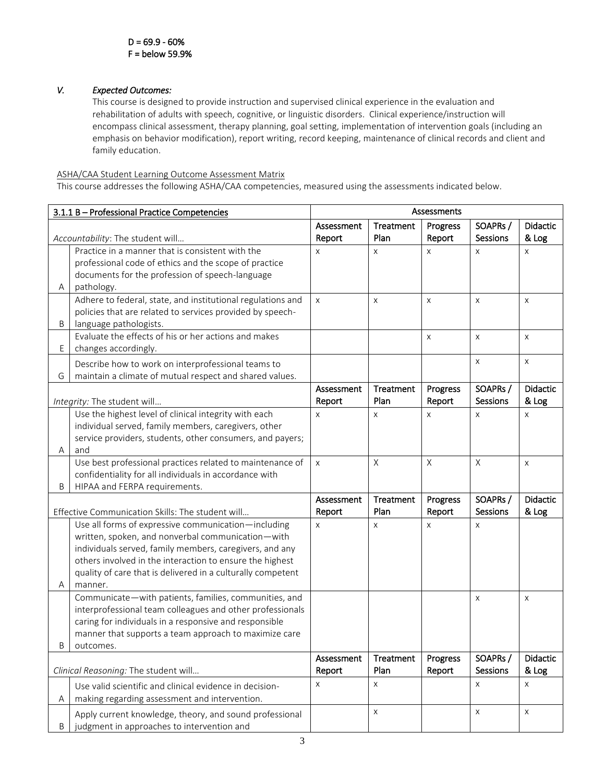# *V. Expected Outcomes:*

This course is designed to provide instruction and supervised clinical experience in the evaluation and rehabilitation of adults with speech, cognitive, or linguistic disorders. Clinical experience/instruction will encompass clinical assessment, therapy planning, goal setting, implementation of intervention goals (including an emphasis on behavior modification), report writing, record keeping, maintenance of clinical records and client and family education.

# ASHA/CAA Student Learning Outcome Assessment Matrix

This course addresses the following ASHA/CAA competencies, measured using the assessments indicated below.

|                                                         | 3.1.1 B - Professional Practice Competencies                | Assessments |           |          |                 |                 |
|---------------------------------------------------------|-------------------------------------------------------------|-------------|-----------|----------|-----------------|-----------------|
|                                                         |                                                             | Assessment  | Treatment | Progress | SOAPRs /        | <b>Didactic</b> |
|                                                         | Accountability: The student will                            | Report      | Plan      | Report   | Sessions        | & Log           |
|                                                         | Practice in a manner that is consistent with the            | $\times$    | $\times$  | X        | X               | X               |
|                                                         | professional code of ethics and the scope of practice       |             |           |          |                 |                 |
|                                                         | documents for the profession of speech-language             |             |           |          |                 |                 |
| Α                                                       | pathology.                                                  |             |           |          |                 |                 |
|                                                         | Adhere to federal, state, and institutional regulations and | $\times$    | X         | X        | $\pmb{\times}$  | X               |
|                                                         | policies that are related to services provided by speech-   |             |           |          |                 |                 |
| B                                                       | language pathologists.                                      |             |           |          |                 |                 |
|                                                         | Evaluate the effects of his or her actions and makes        |             |           | X        | $\mathsf X$     | $\pmb{\times}$  |
| E                                                       | changes accordingly.                                        |             |           |          |                 |                 |
|                                                         | Describe how to work on interprofessional teams to          |             |           |          | X               | X               |
| G                                                       | maintain a climate of mutual respect and shared values.     |             |           |          |                 |                 |
|                                                         |                                                             | Assessment  | Treatment | Progress | SOAPRs /        | <b>Didactic</b> |
|                                                         | Integrity: The student will                                 | Report      | Plan      | Report   | <b>Sessions</b> | & Log           |
|                                                         | Use the highest level of clinical integrity with each       | X           | X         | X        | X               | X               |
|                                                         | individual served, family members, caregivers, other        |             |           |          |                 |                 |
|                                                         | service providers, students, other consumers, and payers;   |             |           |          |                 |                 |
| A                                                       | and                                                         |             |           |          |                 |                 |
|                                                         | Use best professional practices related to maintenance of   | X           | X         | X        | X               | X               |
|                                                         | confidentiality for all individuals in accordance with      |             |           |          |                 |                 |
| HIPAA and FERPA requirements.<br>B                      |                                                             |             |           |          |                 |                 |
|                                                         |                                                             | Assessment  | Treatment | Progress | SOAPRs /        | <b>Didactic</b> |
| Effective Communication Skills: The student will        |                                                             | Report      | Plan      | Report   | Sessions        | & Log           |
|                                                         | Use all forms of expressive communication-including         | $\times$    | X         | X        | X               |                 |
|                                                         | written, spoken, and nonverbal communication-with           |             |           |          |                 |                 |
|                                                         | individuals served, family members, caregivers, and any     |             |           |          |                 |                 |
|                                                         | others involved in the interaction to ensure the highest    |             |           |          |                 |                 |
|                                                         | quality of care that is delivered in a culturally competent |             |           |          |                 |                 |
| A                                                       | manner.                                                     |             |           |          |                 |                 |
|                                                         | Communicate-with patients, families, communities, and       |             |           |          | $\times$        | X               |
|                                                         | interprofessional team colleagues and other professionals   |             |           |          |                 |                 |
|                                                         | caring for individuals in a responsive and responsible      |             |           |          |                 |                 |
|                                                         | manner that supports a team approach to maximize care       |             |           |          |                 |                 |
| Β                                                       | outcomes.                                                   |             |           |          |                 |                 |
|                                                         |                                                             | Assessment  | Treatment | Progress | SOAPRs /        | <b>Didactic</b> |
| Clinical Reasoning: The student will                    |                                                             | Report      | Plan      | Report   | Sessions        | & Log           |
| Use valid scientific and clinical evidence in decision- |                                                             | X           | X         |          | X               | X               |
| Α                                                       | making regarding assessment and intervention.               |             |           |          |                 |                 |
|                                                         |                                                             |             |           |          |                 |                 |
|                                                         | Apply current knowledge, theory, and sound professional     |             | X         |          | $\mathsf X$     | $\mathsf X$     |
| B                                                       | judgment in approaches to intervention and                  |             |           |          |                 |                 |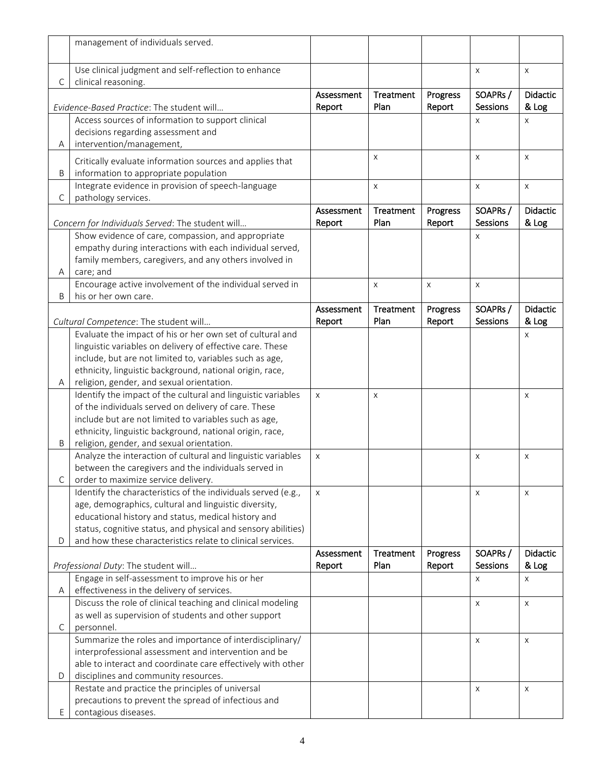|              | management of individuals served.                                                                                      |            |                |          |          |                 |
|--------------|------------------------------------------------------------------------------------------------------------------------|------------|----------------|----------|----------|-----------------|
|              |                                                                                                                        |            |                |          |          |                 |
|              | Use clinical judgment and self-reflection to enhance                                                                   |            |                |          | X        | $\pmb{\times}$  |
| $\mathsf{C}$ | clinical reasoning.                                                                                                    |            |                |          |          |                 |
|              |                                                                                                                        | Assessment | Treatment      | Progress | SOAPRs / | <b>Didactic</b> |
|              | Evidence-Based Practice: The student will                                                                              | Report     | Plan           | Report   | Sessions | & Log           |
|              | Access sources of information to support clinical                                                                      |            |                |          | X        | X               |
|              | decisions regarding assessment and                                                                                     |            |                |          |          |                 |
| A            | intervention/management,                                                                                               |            |                |          |          |                 |
|              | Critically evaluate information sources and applies that                                                               |            | $\pmb{\times}$ |          | $\times$ | $\pmb{\times}$  |
| B            | information to appropriate population                                                                                  |            |                |          |          |                 |
|              | Integrate evidence in provision of speech-language                                                                     |            | $\pmb{\times}$ |          | X        | $\pmb{\times}$  |
| $\mathsf{C}$ | pathology services.                                                                                                    |            |                |          |          |                 |
|              |                                                                                                                        | Assessment | Treatment      | Progress | SOAPRs / | Didactic        |
|              | Concern for Individuals Served: The student will                                                                       | Report     | Plan           | Report   | Sessions | & Log           |
|              | Show evidence of care, compassion, and appropriate                                                                     |            |                |          | X        |                 |
|              | empathy during interactions with each individual served,                                                               |            |                |          |          |                 |
|              | family members, caregivers, and any others involved in                                                                 |            |                |          |          |                 |
| Α            | care; and<br>Encourage active involvement of the individual served in                                                  |            |                |          |          |                 |
| B            | his or her own care.                                                                                                   |            | X              | X        | X        |                 |
|              |                                                                                                                        | Assessment | Treatment      | Progress | SOAPRs / | Didactic        |
|              | Cultural Competence: The student will                                                                                  | Report     | Plan           | Report   | Sessions | & Log           |
|              | Evaluate the impact of his or her own set of cultural and                                                              |            |                |          |          | X               |
|              | linguistic variables on delivery of effective care. These                                                              |            |                |          |          |                 |
|              | include, but are not limited to, variables such as age,                                                                |            |                |          |          |                 |
|              | ethnicity, linguistic background, national origin, race,                                                               |            |                |          |          |                 |
| A            | religion, gender, and sexual orientation.                                                                              |            |                |          |          |                 |
|              | Identify the impact of the cultural and linguistic variables                                                           | X          | X              |          |          | X               |
|              | of the individuals served on delivery of care. These                                                                   |            |                |          |          |                 |
|              | include but are not limited to variables such as age,                                                                  |            |                |          |          |                 |
|              | ethnicity, linguistic background, national origin, race,                                                               |            |                |          |          |                 |
| B            | religion, gender, and sexual orientation.                                                                              |            |                |          |          |                 |
|              | Analyze the interaction of cultural and linguistic variables                                                           | X          |                |          | X        | X               |
|              | between the caregivers and the individuals served in                                                                   |            |                |          |          |                 |
| C            | order to maximize service delivery.                                                                                    |            |                |          |          |                 |
|              | Identify the characteristics of the individuals served (e.g.,<br>age, demographics, cultural and linguistic diversity, | X          |                |          | X        | X               |
|              | educational history and status, medical history and                                                                    |            |                |          |          |                 |
|              | status, cognitive status, and physical and sensory abilities)                                                          |            |                |          |          |                 |
| D            | and how these characteristics relate to clinical services.                                                             |            |                |          |          |                 |
|              |                                                                                                                        | Assessment | Treatment      | Progress | SOAPRs / | Didactic        |
|              | Professional Duty: The student will                                                                                    | Report     | Plan           | Report   | Sessions | & Log           |
|              | Engage in self-assessment to improve his or her                                                                        |            |                |          | X        | X               |
| Α            | effectiveness in the delivery of services.                                                                             |            |                |          |          |                 |
|              | Discuss the role of clinical teaching and clinical modeling                                                            |            |                |          | X        | X               |
|              | as well as supervision of students and other support                                                                   |            |                |          |          |                 |
| $\mathsf{C}$ | personnel.                                                                                                             |            |                |          |          |                 |
|              | Summarize the roles and importance of interdisciplinary/                                                               |            |                |          | X        | X               |
|              | interprofessional assessment and intervention and be                                                                   |            |                |          |          |                 |
|              | able to interact and coordinate care effectively with other                                                            |            |                |          |          |                 |
| D            | disciplines and community resources.                                                                                   |            |                |          |          |                 |
|              | Restate and practice the principles of universal                                                                       |            |                |          | X        | X               |
| E            | precautions to prevent the spread of infectious and                                                                    |            |                |          |          |                 |
|              | contagious diseases.                                                                                                   |            |                |          |          |                 |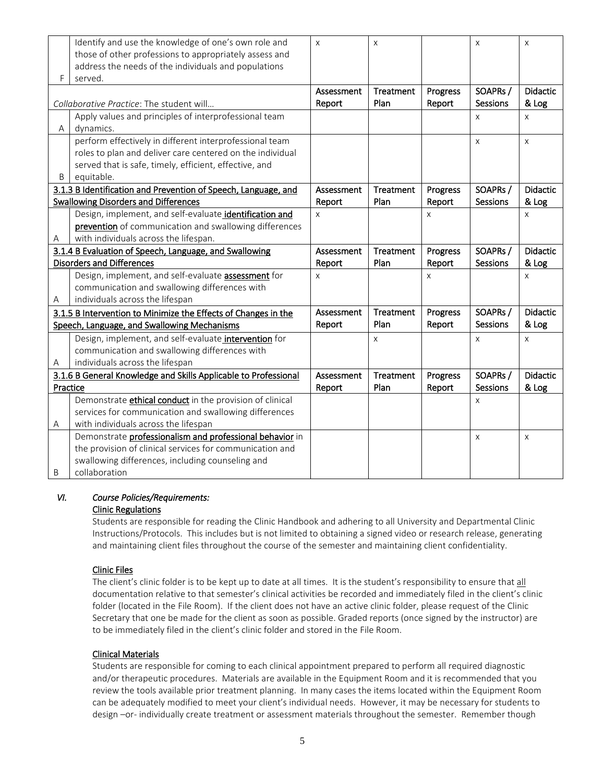|                                                                 | Identify and use the knowledge of one's own role and            |             | X                |          | $\pmb{\times}$  | $\times$        |
|-----------------------------------------------------------------|-----------------------------------------------------------------|-------------|------------------|----------|-----------------|-----------------|
|                                                                 | those of other professions to appropriately assess and          |             |                  |          |                 |                 |
|                                                                 | address the needs of the individuals and populations            |             |                  |          |                 |                 |
| F<br>served.                                                    |                                                                 |             |                  |          |                 |                 |
|                                                                 |                                                                 | Assessment  | Treatment        | Progress | SOAPRs /        | <b>Didactic</b> |
|                                                                 | Collaborative Practice: The student will                        | Report      | Plan             | Report   | Sessions        | & Log           |
|                                                                 | Apply values and principles of interprofessional team           |             |                  |          | $\times$        | X               |
| A                                                               | dynamics.                                                       |             |                  |          |                 |                 |
|                                                                 | perform effectively in different interprofessional team         |             |                  |          | $\times$        | X               |
|                                                                 | roles to plan and deliver care centered on the individual       |             |                  |          |                 |                 |
|                                                                 | served that is safe, timely, efficient, effective, and          |             |                  |          |                 |                 |
| B                                                               | equitable.                                                      |             |                  |          |                 |                 |
|                                                                 | 3.1.3 B Identification and Prevention of Speech, Language, and  | Assessment  | Treatment        | Progress | SOAPRs /        | <b>Didactic</b> |
|                                                                 | <b>Swallowing Disorders and Differences</b>                     | Report      | Plan             | Report   | Sessions        | & Log           |
|                                                                 | Design, implement, and self-evaluate identification and         | $\mathsf X$ |                  | X        |                 | X               |
|                                                                 | prevention of communication and swallowing differences          |             |                  |          |                 |                 |
| А                                                               | with individuals across the lifespan.                           |             |                  |          |                 |                 |
|                                                                 | 3.1.4 B Evaluation of Speech, Language, and Swallowing          | Assessment  | <b>Treatment</b> | Progress | SOAPRs /        | <b>Didactic</b> |
|                                                                 | <b>Disorders and Differences</b>                                | Report      | Plan             | Report   | Sessions        | & Log           |
|                                                                 | Design, implement, and self-evaluate <b>assessment</b> for      | X           |                  | X        |                 | X               |
|                                                                 | communication and swallowing differences with                   |             |                  |          |                 |                 |
| Α                                                               | individuals across the lifespan                                 |             |                  |          |                 |                 |
| 3.1.5 B Intervention to Minimize the Effects of Changes in the  |                                                                 | Assessment  | Treatment        | Progress | SOAPRs /        | Didactic        |
|                                                                 | Speech, Language, and Swallowing Mechanisms                     | Report      | Plan             | Report   | Sessions        | & Log           |
|                                                                 | Design, implement, and self-evaluate intervention for           |             | $\times$         |          | $\mathsf{x}$    | X               |
|                                                                 | communication and swallowing differences with                   |             |                  |          |                 |                 |
| Α                                                               | individuals across the lifespan                                 |             |                  |          |                 |                 |
| 3.1.6 B General Knowledge and Skills Applicable to Professional |                                                                 | Assessment  | Treatment        | Progress | SOAPRs /        | <b>Didactic</b> |
| Practice                                                        |                                                                 | Report      | Plan             | Report   | <b>Sessions</b> | & Log           |
|                                                                 | Demonstrate <i>ethical conduct</i> in the provision of clinical |             |                  |          | X               |                 |
|                                                                 | services for communication and swallowing differences           |             |                  |          |                 |                 |
| Α                                                               | with individuals across the lifespan                            |             |                  |          |                 |                 |
|                                                                 | Demonstrate professionalism and professional behavior in        |             |                  |          | $\pmb{\times}$  | $\times$        |
|                                                                 | the provision of clinical services for communication and        |             |                  |          |                 |                 |
| swallowing differences, including counseling and                |                                                                 |             |                  |          |                 |                 |
| B                                                               | collaboration                                                   |             |                  |          |                 |                 |

# *VI. Course Policies/Requirements:*

# Clinic Regulations

Students are responsible for reading the Clinic Handbook and adhering to all University and Departmental Clinic Instructions/Protocols. This includes but is not limited to obtaining a signed video or research release, generating and maintaining client files throughout the course of the semester and maintaining client confidentiality.

# Clinic Files

The client's clinic folder is to be kept up to date at all times. It is the student's responsibility to ensure that all documentation relative to that semester's clinical activities be recorded and immediately filed in the client's clinic folder (located in the File Room). If the client does not have an active clinic folder, please request of the Clinic Secretary that one be made for the client as soon as possible. Graded reports (once signed by the instructor) are to be immediately filed in the client's clinic folder and stored in the File Room.

## Clinical Materials

Students are responsible for coming to each clinical appointment prepared to perform all required diagnostic and/or therapeutic procedures. Materials are available in the Equipment Room and it is recommended that you review the tools available prior treatment planning. In many cases the items located within the Equipment Room can be adequately modified to meet your client's individual needs. However, it may be necessary for students to design –or- individually create treatment or assessment materials throughout the semester. Remember though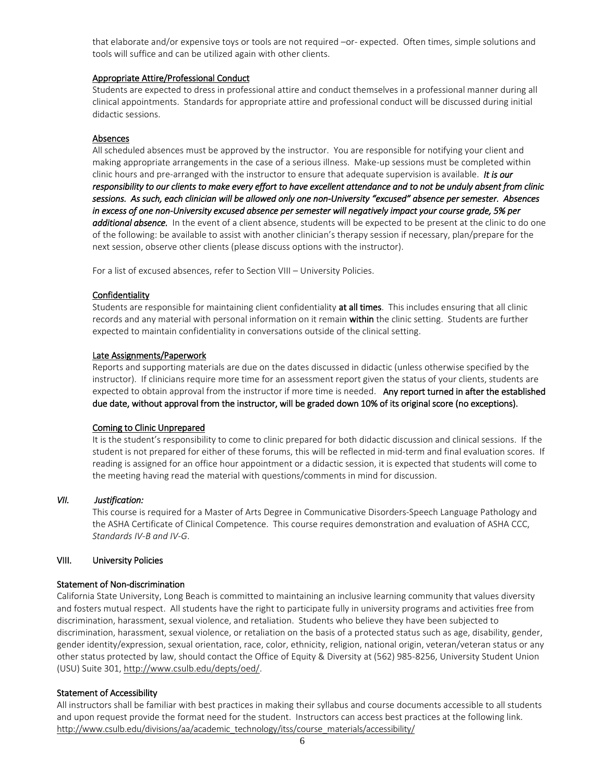that elaborate and/or expensive toys or tools are not required –or- expected. Often times, simple solutions and tools will suffice and can be utilized again with other clients.

#### Appropriate Attire/Professional Conduct

Students are expected to dress in professional attire and conduct themselves in a professional manner during all clinical appointments. Standards for appropriate attire and professional conduct will be discussed during initial didactic sessions.

## Absences

All scheduled absences must be approved by the instructor. You are responsible for notifying your client and making appropriate arrangements in the case of a serious illness. Make-up sessions must be completed within clinic hours and pre-arranged with the instructor to ensure that adequate supervision is available. *It is our responsibility to our clients to make every effort to have excellent attendance and to not be unduly absent from clinic sessions. As such, each clinician will be allowed only one non-University "excused" absence per semester. Absences in excess of one non-University excused absence per semester will negatively impact your course grade, 5% per additional absence.* In the event of a client absence, students will be expected to be present at the clinic to do one of the following: be available to assist with another clinician's therapy session if necessary, plan/prepare for the next session, observe other clients (please discuss options with the instructor).

For a list of excused absences, refer to Section VIII – University Policies.

## **Confidentiality**

Students are responsible for maintaining client confidentiality at all times. This includes ensuring that all clinic records and any material with personal information on it remain within the clinic setting. Students are further expected to maintain confidentiality in conversations outside of the clinical setting.

## Late Assignments/Paperwork

Reports and supporting materials are due on the dates discussed in didactic (unless otherwise specified by the instructor). If clinicians require more time for an assessment report given the status of your clients, students are expected to obtain approval from the instructor if more time is needed. Any report turned in after the established due date, without approval from the instructor, will be graded down 10% of its original score (no exceptions).

## Coming to Clinic Unprepared

It is the student's responsibility to come to clinic prepared for both didactic discussion and clinical sessions. If the student is not prepared for either of these forums, this will be reflected in mid-term and final evaluation scores. If reading is assigned for an office hour appointment or a didactic session, it is expected that students will come to the meeting having read the material with questions/comments in mind for discussion.

## *VII. Justification:*

This course is required for a Master of Arts Degree in Communicative Disorders-Speech Language Pathology and the ASHA Certificate of Clinical Competence. This course requires demonstration and evaluation of ASHA CCC, *Standards IV-B and IV-G*.

## VIII. University Policies

## Statement of Non-discrimination

California State University, Long Beach is committed to maintaining an inclusive learning community that values diversity and fosters mutual respect. All students have the right to participate fully in university programs and activities free from discrimination, harassment, sexual violence, and retaliation. Students who believe they have been subjected to discrimination, harassment, sexual violence, or retaliation on the basis of a protected status such as age, disability, gender, gender identity/expression, sexual orientation, race, color, ethnicity, religion, national origin, veteran/veteran status or any other status protected by law, should contact the Office of Equity & Diversity at (562) 985-8256, University Student Union (USU) Suite 301[, http://www.csulb.edu/depts/oed/.](http://www.csulb.edu/depts/oed/)

## Statement of Accessibility

All instructors shall be familiar with best practices in making their syllabus and course documents accessible to all students and upon request provide the format need for the student. Instructors can access best practices at the following link. [http://www.csulb.edu/divisions/aa/academic\\_technology/itss/course\\_materials/accessibility/](http://www.csulb.edu/divisions/aa/academic_technology/itss/course_materials/accessibility/)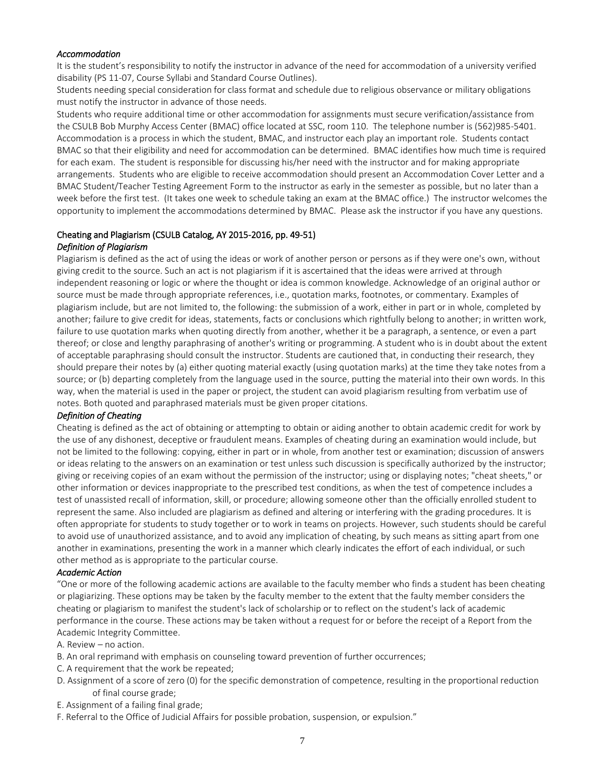#### *Accommodation*

It is the student's responsibility to notify the instructor in advance of the need for accommodation of a university verified disability (PS 11-07, Course Syllabi and Standard Course Outlines).

Students needing special consideration for class format and schedule due to religious observance or military obligations must notify the instructor in advance of those needs.

Students who require additional time or other accommodation for assignments must secure verification/assistance from the CSULB Bob Murphy Access Center (BMAC) office located at SSC, room 110. The telephone number is (562)985-5401. Accommodation is a process in which the student, BMAC, and instructor each play an important role. Students contact BMAC so that their eligibility and need for accommodation can be determined. BMAC identifies how much time is required for each exam. The student is responsible for discussing his/her need with the instructor and for making appropriate arrangements. Students who are eligible to receive accommodation should present an Accommodation Cover Letter and a BMAC Student/Teacher Testing Agreement Form to the instructor as early in the semester as possible, but no later than a week before the first test. (It takes one week to schedule taking an exam at the BMAC office.) The instructor welcomes the opportunity to implement the accommodations determined by BMAC. Please ask the instructor if you have any questions.

#### Cheating and Plagiarism (CSULB Catalog, AY 2015-2016, pp. 49-51)

#### *Definition of Plagiarism*

Plagiarism is defined as the act of using the ideas or work of another person or persons as if they were one's own, without giving credit to the source. Such an act is not plagiarism if it is ascertained that the ideas were arrived at through independent reasoning or logic or where the thought or idea is common knowledge. Acknowledge of an original author or source must be made through appropriate references, i.e., quotation marks, footnotes, or commentary. Examples of plagiarism include, but are not limited to, the following: the submission of a work, either in part or in whole, completed by another; failure to give credit for ideas, statements, facts or conclusions which rightfully belong to another; in written work, failure to use quotation marks when quoting directly from another, whether it be a paragraph, a sentence, or even a part thereof; or close and lengthy paraphrasing of another's writing or programming. A student who is in doubt about the extent of acceptable paraphrasing should consult the instructor. Students are cautioned that, in conducting their research, they should prepare their notes by (a) either quoting material exactly (using quotation marks) at the time they take notes from a source; or (b) departing completely from the language used in the source, putting the material into their own words. In this way, when the material is used in the paper or project, the student can avoid plagiarism resulting from verbatim use of notes. Both quoted and paraphrased materials must be given proper citations.

## *Definition of Cheating*

Cheating is defined as the act of obtaining or attempting to obtain or aiding another to obtain academic credit for work by the use of any dishonest, deceptive or fraudulent means. Examples of cheating during an examination would include, but not be limited to the following: copying, either in part or in whole, from another test or examination; discussion of answers or ideas relating to the answers on an examination or test unless such discussion is specifically authorized by the instructor; giving or receiving copies of an exam without the permission of the instructor; using or displaying notes; "cheat sheets," or other information or devices inappropriate to the prescribed test conditions, as when the test of competence includes a test of unassisted recall of information, skill, or procedure; allowing someone other than the officially enrolled student to represent the same. Also included are plagiarism as defined and altering or interfering with the grading procedures. It is often appropriate for students to study together or to work in teams on projects. However, such students should be careful to avoid use of unauthorized assistance, and to avoid any implication of cheating, by such means as sitting apart from one another in examinations, presenting the work in a manner which clearly indicates the effort of each individual, or such other method as is appropriate to the particular course.

#### *Academic Action*

"One or more of the following academic actions are available to the faculty member who finds a student has been cheating or plagiarizing. These options may be taken by the faculty member to the extent that the faulty member considers the cheating or plagiarism to manifest the student's lack of scholarship or to reflect on the student's lack of academic performance in the course. These actions may be taken without a request for or before the receipt of a Report from the Academic Integrity Committee.

#### A. Review – no action.

- B. An oral reprimand with emphasis on counseling toward prevention of further occurrences;
- C. A requirement that the work be repeated;
- D. Assignment of a score of zero (0) for the specific demonstration of competence, resulting in the proportional reduction of final course grade;
- E. Assignment of a failing final grade;
- F. Referral to the Office of Judicial Affairs for possible probation, suspension, or expulsion."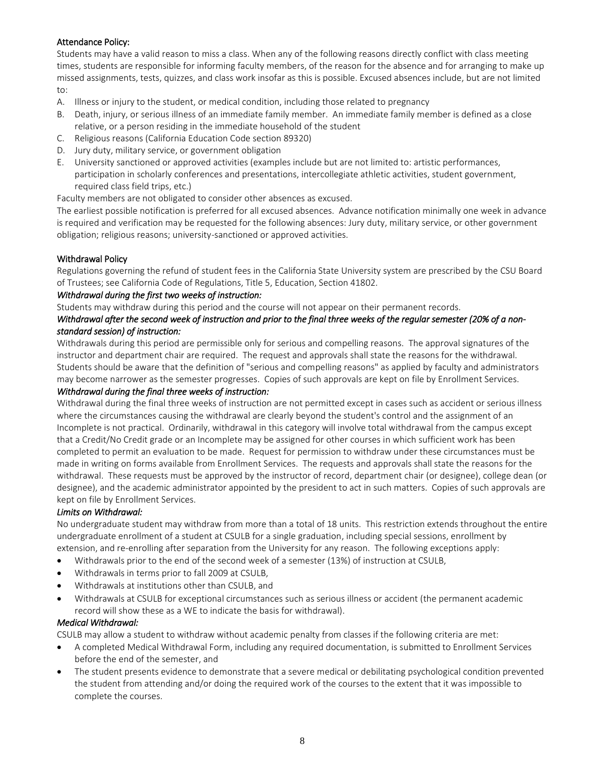# Attendance Policy:

Students may have a valid reason to miss a class. When any of the following reasons directly conflict with class meeting times, students are responsible for informing faculty members, of the reason for the absence and for arranging to make up missed assignments, tests, quizzes, and class work insofar as this is possible. Excused absences include, but are not limited to:

- A. Illness or injury to the student, or medical condition, including those related to pregnancy
- B. Death, injury, or serious illness of an immediate family member. An immediate family member is defined as a close relative, or a person residing in the immediate household of the student
- C. Religious reasons (California Education Code section 89320)
- D. Jury duty, military service, or government obligation
- E. University sanctioned or approved activities (examples include but are not limited to: artistic performances, participation in scholarly conferences and presentations, intercollegiate athletic activities, student government, required class field trips, etc.)

Faculty members are not obligated to consider other absences as excused.

The earliest possible notification is preferred for all excused absences. Advance notification minimally one week in advance is required and verification may be requested for the following absences: Jury duty, military service, or other government obligation; religious reasons; university-sanctioned or approved activities.

## Withdrawal Policy

Regulations governing the refund of student fees in the California State University system are prescribed by the CSU Board of Trustees; see California Code of Regulations, Title 5, Education, Section 41802.

#### *Withdrawal during the first two weeks of instruction:*

Students may withdraw during this period and the course will not appear on their permanent records.

## *Withdrawal after the second week of instruction and prior to the final three weeks of the regular semester (20% of a nonstandard session) of instruction:*

Withdrawals during this period are permissible only for serious and compelling reasons. The approval signatures of the instructor and department chair are required. The request and approvals shall state the reasons for the withdrawal. Students should be aware that the definition of "serious and compelling reasons" as applied by faculty and administrators may become narrower as the semester progresses. Copies of such approvals are kept on file by Enrollment Services.

## *Withdrawal during the final three weeks of instruction:*

Withdrawal during the final three weeks of instruction are not permitted except in cases such as accident or serious illness where the circumstances causing the withdrawal are clearly beyond the student's control and the assignment of an Incomplete is not practical. Ordinarily, withdrawal in this category will involve total withdrawal from the campus except that a Credit/No Credit grade or an Incomplete may be assigned for other courses in which sufficient work has been completed to permit an evaluation to be made. Request for permission to withdraw under these circumstances must be made in writing on forms available from Enrollment Services. The requests and approvals shall state the reasons for the withdrawal. These requests must be approved by the instructor of record, department chair (or designee), college dean (or designee), and the academic administrator appointed by the president to act in such matters. Copies of such approvals are kept on file by Enrollment Services.

## *Limits on Withdrawal:*

No undergraduate student may withdraw from more than a total of 18 units. This restriction extends throughout the entire undergraduate enrollment of a student at CSULB for a single graduation, including special sessions, enrollment by extension, and re-enrolling after separation from the University for any reason. The following exceptions apply:

- Withdrawals prior to the end of the second week of a semester (13%) of instruction at CSULB,
- Withdrawals in terms prior to fall 2009 at CSULB,
- Withdrawals at institutions other than CSULB, and
- Withdrawals at CSULB for exceptional circumstances such as serious illness or accident (the permanent academic record will show these as a WE to indicate the basis for withdrawal).

## *Medical Withdrawal:*

CSULB may allow a student to withdraw without academic penalty from classes if the following criteria are met:

- A completed Medical Withdrawal Form, including any required documentation, is submitted to Enrollment Services before the end of the semester, and
- The student presents evidence to demonstrate that a severe medical or debilitating psychological condition prevented the student from attending and/or doing the required work of the courses to the extent that it was impossible to complete the courses.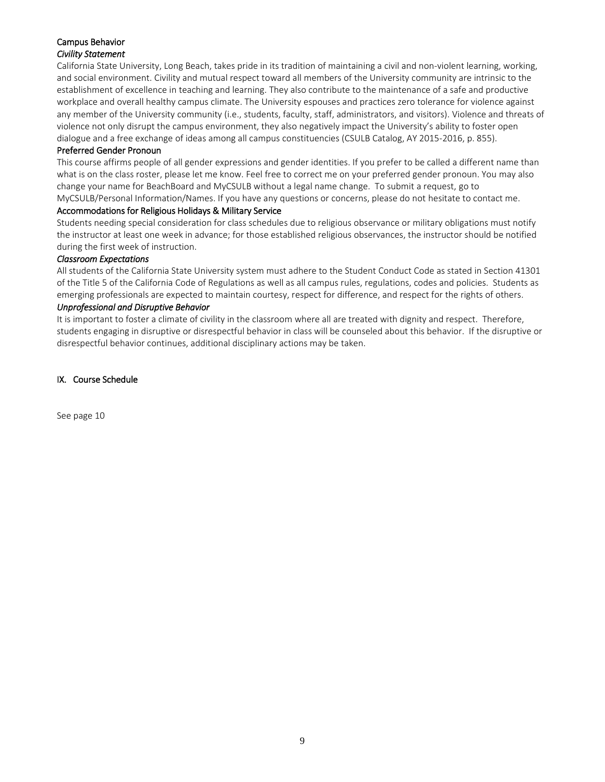# Campus Behavior *Civility Statement*

California State University, Long Beach, takes pride in its tradition of maintaining a civil and non-violent learning, working, and social environment. Civility and mutual respect toward all members of the University community are intrinsic to the establishment of excellence in teaching and learning. They also contribute to the maintenance of a safe and productive workplace and overall healthy campus climate. The University espouses and practices zero tolerance for violence against any member of the University community (i.e., students, faculty, staff, administrators, and visitors). Violence and threats of violence not only disrupt the campus environment, they also negatively impact the University's ability to foster open dialogue and a free exchange of ideas among all campus constituencies (CSULB Catalog, AY 2015-2016, p. 855).

## Preferred Gender Pronoun

This course affirms people of all gender expressions and gender identities. If you prefer to be called a different name than what is on the class roster, please let me know. Feel free to correct me on your preferred gender pronoun. You may also change your name for BeachBoard and MyCSULB without a legal name change. To submit a request, go to MyCSULB/Personal Information/Names. If you have any questions or concerns, please do not hesitate to contact me.

## Accommodations for Religious Holidays & Military Service

Students needing special consideration for class schedules due to religious observance or military obligations must notify the instructor at least one week in advance; for those established religious observances, the instructor should be notified during the first week of instruction.

## *Classroom Expectations*

All students of the California State University system must adhere to the Student Conduct Code as stated in Section 41301 of the Title 5 of the California Code of Regulations as well as all campus rules, regulations, codes and policies. Students as emerging professionals are expected to maintain courtesy, respect for difference, and respect for the rights of others.

## *Unprofessional and Disruptive Behavior*

It is important to foster a climate of civility in the classroom where all are treated with dignity and respect. Therefore, students engaging in disruptive or disrespectful behavior in class will be counseled about this behavior. If the disruptive or disrespectful behavior continues, additional disciplinary actions may be taken.

IX. Course Schedule

See page 10